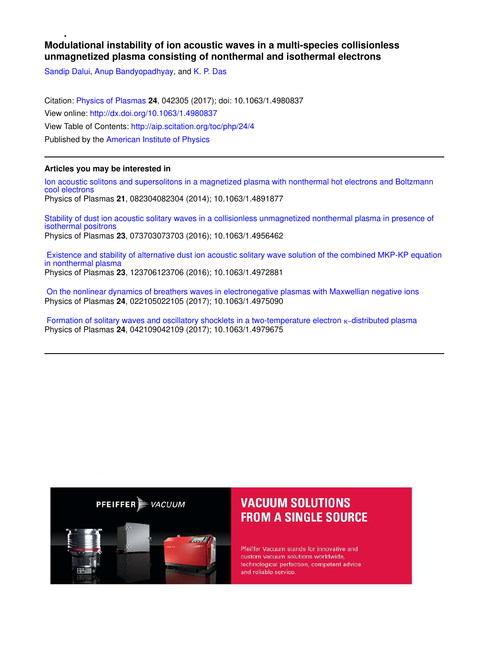## **Modulational instability of ion acoustic waves in a multi-species collisionless unmagnetized plasma consisting of nonthermal and isothermal electrons**

Sandip Dalui, Anup Bandyopadhyay, and K. P. Das

Citation: Physics of Plasmas **24**, 042305 (2017); doi: 10.1063/1.4980837 View online: http://dx.doi.org/10.1063/1.4980837 View Table of Contents: http://aip.scitation.org/toc/php/24/4 Published by the American Institute of Physics

## **Articles you may be interested in**

Ion acoustic solitons and supersolitons in a magnetized plasma with nonthermal hot electrons and Boltzmann cool electrons Physics of Plasmas **21**, 082304082304 (2014); 10.1063/1.4891877

Stability of dust ion acoustic solitary waves in a collisionless unmagnetized nonthermal plasma in presence of isothermal positrons Physics of Plasmas **23**, 073703073703 (2016); 10.1063/1.4956462

 Existence and stability of alternative dust ion acoustic solitary wave solution of the combined MKP-KP equation in nonthermal plasma Physics of Plasmas **23**, 123706123706 (2016); 10.1063/1.4972881

 On the nonlinear dynamics of breathers waves in electronegative plasmas with Maxwellian negative ions Physics of Plasmas **24**, 022105022105 (2017); 10.1063/1.4975090

 Formation of solitary waves and oscillatory shocklets in a two-temperature electron κ–distributed plasma Physics of Plasmas **24**, 042109042109 (2017); 10.1063/1.4979675



# **VACUUM SOLUTIONS FROM A SINGLE SOURCE**

Pfeiffer Vacuum stands for innovative and custom vacuum solutions worldwide, technological perfection, competent advice and reliable service.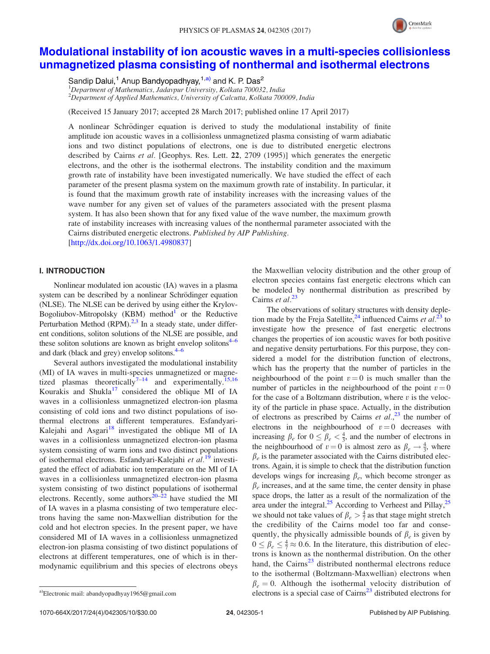

## Modulational instability of ion acoustic waves in a multi-species collisionless unmagnetized plasma consisting of nonthermal and isothermal electrons

Sandip Dalui,<sup>1</sup> Anup Bandyopadhyay,<sup>1,a)</sup> and K. P. Das<sup>2</sup>  $1$ Department of Mathematics, Jadavpur University, Kolkata 700032, India  $2$ Department of Applied Mathematics, University of Calcutta, Kolkata 700009, India

(Received 15 January 2017; accepted 28 March 2017; published online 17 April 2017)

A nonlinear Schrödinger equation is derived to study the modulational instability of finite amplitude ion acoustic waves in a collisionless unmagnetized plasma consisting of warm adiabatic ions and two distinct populations of electrons, one is due to distributed energetic electrons described by Cairns et al. [Geophys. Res. Lett. 22, 2709 (1995)] which generates the energetic electrons, and the other is the isothermal electrons. The instability condition and the maximum growth rate of instability have been investigated numerically. We have studied the effect of each parameter of the present plasma system on the maximum growth rate of instability. In particular, it is found that the maximum growth rate of instability increases with the increasing values of the wave number for any given set of values of the parameters associated with the present plasma system. It has also been shown that for any fixed value of the wave number, the maximum growth rate of instability increases with increasing values of the nonthermal parameter associated with the Cairns distributed energetic electrons. Published by AIP Publishing. [http://dx.doi.org/10.1063/1.4980837]

## I. INTRODUCTION

Nonlinear modulated ion acoustic (IA) waves in a plasma system can be described by a nonlinear Schrödinger equation (NLSE). The NLSE can be derived by using either the Krylov-Bogoliubov-Mitropolsky (KBM) method<sup>1</sup> or the Reductive Perturbation Method (RPM).<sup>2,3</sup> In a steady state, under different conditions, soliton solutions of the NLSE are possible, and these soliton solutions are known as bright envelop solitons $4-6$ and dark (black and grey) envelop solitons. $4-6$ 

Several authors investigated the modulational instability (MI) of IA waves in multi-species unmagnetized or magnetized plasmas theoretically $\overline{y}^{7-14}$  and experimentally.<sup>15,16</sup> Kourakis and Shukla $17$  considered the oblique MI of IA waves in a collisionless unmagnetized electron-ion plasma consisting of cold ions and two distinct populations of isothermal electrons at different temperatures. Esfandyari-Kalejahi and Asgari $18$  investigated the oblique MI of IA waves in a collisionless unmagnetized electron-ion plasma system consisting of warm ions and two distinct populations of isothermal electrons. Esfandyari-Kalejahi et  $al$ .<sup>19</sup> investigated the effect of adiabatic ion temperature on the MI of IA waves in a collisionless unmagnetized electron-ion plasma system consisting of two distinct populations of isothermal electrons. Recently, some authors<sup> $20-\overline{22}$ </sup> have studied the MI of IA waves in a plasma consisting of two temperature electrons having the same non-Maxwellian distribution for the cold and hot electron species. In the present paper, we have considered MI of IA waves in a collisionless unmagnetized electron-ion plasma consisting of two distinct populations of electrons at different temperatures, one of which is in thermodynamic equilibrium and this species of electrons obeys the Maxwellian velocity distribution and the other group of electron species contains fast energetic electrons which can be modeled by nonthermal distribution as prescribed by Cairns et  $al.^{23}$ 

The observations of solitary structures with density depletion made by the Freja Satellite,  $^{24}$  influenced Cairns *et al.*<sup>23</sup> to investigate how the presence of fast energetic electrons changes the properties of ion acoustic waves for both positive and negative density perturbations. For this purpose, they considered a model for the distribution function of electrons, which has the property that the number of particles in the neighbourhood of the point  $v = 0$  is much smaller than the number of particles in the neighbourhood of the point  $v = 0$ for the case of a Boltzmann distribution, where  $v$  is the velocity of the particle in phase space. Actually, in the distribution of electrons as prescribed by Cairns et  $al$ ,  $^{23}$  the number of electrons in the neighbourhood of  $v = 0$  decreases with increasing  $\beta_e$  for  $0 \le \beta_e < \frac{4}{3}$ , and the number of electrons in the neighbourhood of  $v = 0$  is almost zero as  $\beta_e \rightarrow \frac{4}{3}$ , where  $\beta_e$  is the parameter associated with the Cairns distributed electrons. Again, it is simple to check that the distribution function develops wings for increasing  $\beta_e$ , which become stronger as  $\beta_e$  increases, and at the same time, the center density in phase space drops, the latter as a result of the normalization of the area under the integral. $^{25}$  According to Verheest and Pillay, $^{25}$ we should not take values of  $\beta_e > \frac{4}{7}$  as that stage might stretch the credibility of the Cairns model too far and consequently, the physically admissible bounds of  $\beta_e$  is given by  $0 \le \beta_e \le \frac{4}{7} \approx 0.6$ . In the literature, this distribution of electrons is known as the nonthermal distribution. On the other hand, the Cairns $^{23}$  distributed nonthermal electrons reduce to the isothermal (Boltzmann-Maxwellian) electrons when  $\beta_e = 0$ . Although the isothermal velocity distribution of <sup>a)</sup>Electronic mail: abandyopadhyay1965@gmail.com electrons is a special case of Cairns<sup>23</sup> distributed electrons for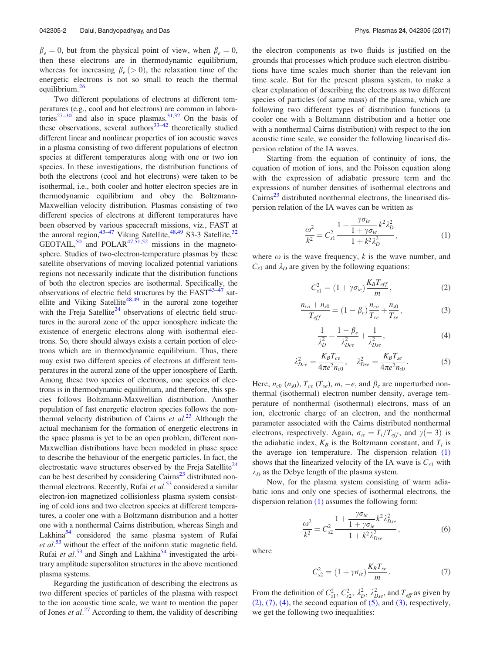$\beta_e = 0$ , but from the physical point of view, when  $\beta_e = 0$ , then these electrons are in thermodynamic equilibrium, whereas for increasing  $\beta_e (> 0)$ , the relaxation time of the energetic electrons is not so small to reach the thermal equilibrium.<sup>26</sup>

Two different populations of electrons at different temperatures (e.g., cool and hot electrons) are common in laboratories<sup>27–30</sup> and also in space plasmas.<sup>31,32</sup> On the basis of these observations, several authors $33-42$  theoretically studied different linear and nonlinear properties of ion acoustic waves in a plasma consisting of two different populations of electron species at different temperatures along with one or two ion species. In these investigations, the distribution functions of both the electrons (cool and hot electrons) were taken to be isothermal, i.e., both cooler and hotter electron species are in thermodynamic equilibrium and obey the Boltzmann-Maxwellian velocity distribution. Plasmas consisting of two different species of electrons at different temperatures have been observed by various spacecraft missions, viz., FAST at the auroral region,  $43-47$  Viking Satellite,  $48,49$  S3-3 Satellite,  $32$ GEOTAIL,<sup>50</sup> and POLAR<sup>47,51,52</sup> missions in the magnetosphere. Studies of two-electron-temperature plasmas by these satellite observations of moving localized potential variations regions not necessarily indicate that the distribution functions of both the electron species are isothermal. Specifically, the observations of electric field structures by the  $FAST^{43-47}$  satellite and Viking Satellite<sup>48,49</sup> in the auroral zone together with the Freja Satellite<sup>24</sup> observations of electric field structures in the auroral zone of the upper ionosphere indicate the existence of energetic electrons along with isothermal electrons. So, there should always exists a certain portion of electrons which are in thermodynamic equilibrium. Thus, there may exist two different species of electrons at different temperatures in the auroral zone of the upper ionosphere of Earth. Among these two species of electrons, one species of electrons is in thermodynamic equilibrium, and therefore, this species follows Boltzmann-Maxwellian distribution. Another population of fast energetic electron species follows the nonthermal velocity distribution of Cairns et  $al^{23}$  Although the actual mechanism for the formation of energetic electrons in the space plasma is yet to be an open problem, different non-Maxwellian distributions have been modeled in phase space to describe the behaviour of the energetic particles. In fact, the electrostatic wave structures observed by the Freja Satellite<sup>24</sup> can be best described by considering Cairns<sup>23</sup> distributed nonthermal electrons. Recently, Rufai *et al.*<sup>53</sup> considered a similar electron-ion magnetized collisionless plasma system consisting of cold ions and two electron species at different temperatures, a cooler one with a Boltzmann distribution and a hotter one with a nonthermal Cairns distribution, whereas Singh and Lakhina<sup>54</sup> considered the same plasma system of Rufai et  $al<sup>53</sup>$  without the effect of the uniform static magnetic field. Rufai *et al.*<sup>53</sup> and Singh and Lakhina<sup>54</sup> investigated the arbitrary amplitude supersoliton structures in the above mentioned plasma systems.

Regarding the justification of describing the electrons as two different species of particles of the plasma with respect to the ion acoustic time scale, we want to mention the paper of Jones *et al.*<sup>27</sup> According to them, the validity of describing the electron components as two fluids is justified on the grounds that processes which produce such electron distributions have time scales much shorter than the relevant ion time scale. But for the present plasma system, to make a clear explanation of describing the electrons as two different species of particles (of same mass) of the plasma, which are following two different types of distribution functions (a cooler one with a Boltzmann distribution and a hotter one with a nonthermal Cairns distribution) with respect to the ion acoustic time scale, we consider the following linearised dispersion relation of the IA waves.

Starting from the equation of continuity of ions, the equation of motion of ions, and the Poisson equation along with the expression of adiabatic pressure term and the expressions of number densities of isothermal electrons and Cairns $^{23}$  distributed nonthermal electrons, the linearised dispersion relation of the IA waves can be written as

$$
\frac{\omega^2}{k^2} = C_{s1}^2 \frac{1 + \frac{\gamma \sigma_{ie}}{1 + \gamma \sigma_{ie}} k^2 \lambda_D^2}{1 + k^2 \lambda_D^2},
$$
 (1)

where  $\omega$  is the wave frequency, k is the wave number, and  $C_{s1}$  and  $\lambda_D$  are given by the following equations:

$$
C_{s1}^2 = (1 + \gamma \sigma_{ie}) \frac{K_B T_{eff}}{m}, \qquad (2)
$$

$$
\frac{n_{co} + n_{s0}}{T_{eff}} = (1 - \beta_e) \frac{n_{co}}{T_{ce}} + \frac{n_{s0}}{T_{se}},
$$
(3)

$$
\frac{1}{\lambda_D^2} = \frac{1 - \beta_e}{\lambda_{Dec}^2} + \frac{1}{\lambda_{Dse}^2},
$$
\n(4)

$$
\lambda_{Dce}^2 = \frac{K_B T_{ce}}{4\pi e^2 n_{c0}}, \quad \lambda_{Dse}^2 = \frac{K_B T_{se}}{4\pi e^2 n_{s0}}.
$$
 (5)

Here,  $n_{c0}$  ( $n_{s0}$ ),  $T_{ce}$  ( $T_{se}$ ),  $m, -e$ , and  $\beta_e$  are unperturbed nonthermal (isothermal) electron number density, average temperature of nonthermal (isothermal) electrons, mass of an ion, electronic charge of an electron, and the nonthermal parameter associated with the Cairns distributed nonthermal electrons, respectively. Again,  $\sigma_{ie} = T_i/T_{eff}$ , and  $\gamma(=3)$  is the adiabatic index,  $K_B$  is the Boltzmann constant, and  $T_i$  is the average ion temperature. The dispersion relation (1) shows that the linearized velocity of the IA wave is  $C_{s1}$  with  $\lambda_D$  as the Debye length of the plasma system.

Now, for the plasma system consisting of warm adiabatic ions and only one species of isothermal electrons, the dispersion relation (1) assumes the following form:

$$
\frac{\omega^2}{k^2} = C_{s2}^2 \frac{1 + \frac{\gamma \sigma_{ie}}{1 + \gamma \sigma_{ie}} k^2 \lambda_{Dse}^2}{1 + k^2 \lambda_{Dse}^2},
$$
(6)

where

$$
C_{s2}^2 = (1 + \gamma \sigma_{ie}) \frac{K_B T_{se}}{m}.
$$
 (7)

From the definition of  $C_{s1}^2$ ,  $C_{s2}^2$ ,  $\lambda_D^2$ ,  $\lambda_{Dse}^2$ , and  $T_{\text{eff}}$  as given by  $(2)$ ,  $(7)$ ,  $(4)$ , the second equation of  $(5)$ , and  $(3)$ , respectively, we get the following two inequalities: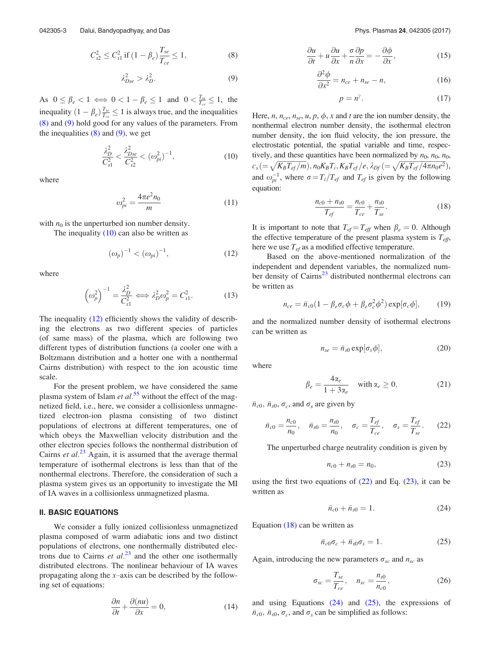$$
C_{s2}^2 \le C_{s1}^2 \text{ if } (1 - \beta_e) \frac{T_{se}}{T_{ce}} \le 1,
$$
 (8)

$$
\lambda_{Dse}^2 > \lambda_D^2. \tag{9}
$$

As  $0 \le \beta_e < 1 \iff 0 < 1 - \beta_e \le 1$  and  $0 < \frac{T_{se}}{T_{ce}} \le 1$ , the inequality  $(1 - \beta_e) \frac{T_{se}}{T_{ce}} \le 1$  is always true, and the inequalities (8) and (9) hold good for any values of the parameters. From the inequalities  $(8)$  and  $(9)$ , we get

$$
\frac{\lambda_D^2}{C_{s1}^2} < \frac{\lambda_{Dse}^2}{C_{s2}^2} < (\omega_{pi}^2)^{-1},\tag{10}
$$

where

$$
\omega_{pi}^2 = \frac{4\pi e^2 n_0}{m} \tag{11}
$$

with  $n_0$  is the unperturbed ion number density.

The inequality  $(10)$  can also be written as

$$
(\omega_p)^{-1} < (\omega_{pi})^{-1}, \tag{12}
$$

where

$$
\left(\omega_p^2\right)^{-1} = \frac{\lambda_D^2}{C_{s1}^2} \iff \lambda_D^2 \omega_p^2 = C_{s1}^2. \tag{13}
$$

The inequality (12) efficiently shows the validity of describing the electrons as two different species of particles (of same mass) of the plasma, which are following two different types of distribution functions (a cooler one with a Boltzmann distribution and a hotter one with a nonthermal Cairns distribution) with respect to the ion acoustic time scale.

For the present problem, we have considered the same plasma system of Islam *et al.*<sup>55</sup> without the effect of the magnetized field, i.e., here, we consider a collisionless unmagnetized electron-ion plasma consisting of two distinct populations of electrons at different temperatures, one of which obeys the Maxwellian velocity distribution and the other electron species follows the nonthermal distribution of Cairns et  $al^{23}$  Again, it is assumed that the average thermal temperature of isothermal electrons is less than that of the nonthermal electrons. Therefore, the consideration of such a plasma system gives us an opportunity to investigate the MI of IA waves in a collisionless unmagnetized plasma.

## II. BASIC EQUATIONS

We consider a fully ionized collisionless unmagnetized plasma composed of warm adiabatic ions and two distinct populations of electrons, one nonthermally distributed electrons due to Cairns et  $al^{23}$  and the other one isothermally distributed electrons. The nonlinear behaviour of IA waves propagating along the  $x$ –axis can be described by the following set of equations:

$$
\frac{\partial n}{\partial t} + \frac{\partial (nu)}{\partial x} = 0,\tag{14}
$$

$$
\frac{\partial u}{\partial t} + u \frac{\partial u}{\partial x} + \frac{\sigma}{n} \frac{\partial p}{\partial x} = -\frac{\partial \phi}{\partial x},\tag{15}
$$

$$
\frac{\partial^2 \phi}{\partial x^2} = n_{ce} + n_{se} - n,\tag{16}
$$

$$
p = n^{\gamma}.\tag{17}
$$

Here, *n*,  $n_{ce}$ ,  $n_{se}$ , *u*, *p*,  $\phi$ , *x* and *t* are the ion number density, the nonthermal electron number density, the isothermal electron number density, the ion fluid velocity, the ion pressure, the electrostatic potential, the spatial variable and time, respectively, and these quantities have been normalized by  $n_0$ ,  $n_0$ ,  $n_0$ ,  $c_{s} (=\sqrt{K_{B}T_{ef}/m}), n_{0}K_{B}T_{i}, K_{B}T_{ef}/e, \lambda_{Df} (=\sqrt{K_{B}T_{ef}/4\pi n_{0}e^{2}}),$ and  $\omega_{pi}^{-1}$ , where  $\sigma = T_i/T_{ef}$  and  $T_{ef}$  is given by the following equation:

$$
\frac{n_{c0} + n_{s0}}{T_{ef}} = \frac{n_{c0}}{T_{ce}} + \frac{n_{s0}}{T_{se}}.
$$
\n(18)

It is important to note that  $T_{ef} = T_{eff}$  when  $\beta_e = 0$ . Although the effective temperature of the present plasma system is  $T_{\text{eff}}$ , here we use  $T_{ef}$  as a modified effective temperature.

Based on the above-mentioned normalization of the independent and dependent variables, the normalized number density of Cairns<sup>23</sup> distributed nonthermal electrons can be written as

$$
n_{ce} = \bar{n}_{c0} (1 - \beta_e \sigma_c \phi + \beta_e \sigma_c^2 \phi^2) \exp[\sigma_c \phi], \qquad (19)
$$

and the normalized number density of isothermal electrons can be written as

$$
n_{se} = \bar{n}_{s0} \exp[\sigma_s \phi], \tag{20}
$$

where

$$
\beta_e = \frac{4\alpha_e}{1 + 3\alpha_e} \quad \text{with } \alpha_e \ge 0,
$$
\n(21)

 $\bar{n}_{c0}, \bar{n}_{s0}, \sigma_c$ , and  $\sigma_s$  are given by

$$
\bar{n}_{c0} = \frac{n_{c0}}{n_0}, \quad \bar{n}_{s0} = \frac{n_{s0}}{n_0}, \quad \sigma_c = \frac{T_{ef}}{T_{ce}}, \quad \sigma_s = \frac{T_{ef}}{T_{se}}.
$$
 (22)

The unperturbed charge neutrality condition is given by

$$
n_{c0} + n_{s0} = n_0, \t\t(23)
$$

using the first two equations of  $(22)$  and Eq.  $(23)$ , it can be written as

$$
\bar{n}_{c0} + \bar{n}_{s0} = 1.
$$
 (24)

Equation (18) can be written as

$$
\bar{n}_{c0}\sigma_c + \bar{n}_{s0}\sigma_s = 1. \tag{25}
$$

Again, introducing the new parameters  $\sigma_{sc}$  and  $n_{sc}$  as

$$
\sigma_{sc} = \frac{T_{se}}{T_{ce}}, \quad n_{sc} = \frac{n_{s0}}{n_{c0}}, \tag{26}
$$

and using Equations  $(24)$  and  $(25)$ , the expressions of  $\bar{n}_{c0}, \bar{n}_{s0}, \sigma_c$ , and  $\sigma_s$  can be simplified as follows: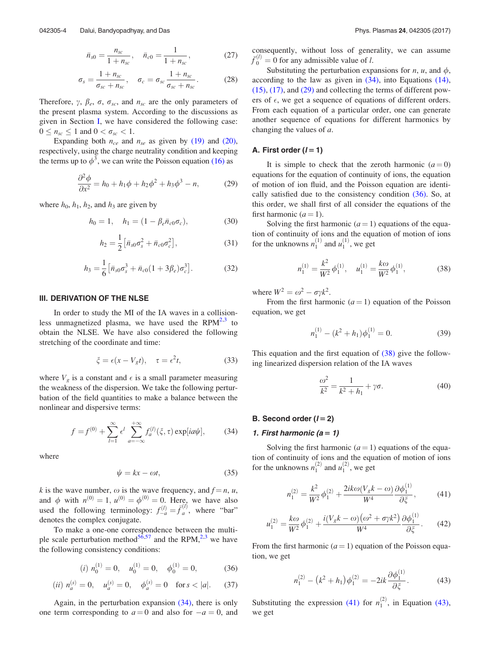$$
\bar{n}_{s0} = \frac{n_{sc}}{1 + n_{sc}}, \quad \bar{n}_{c0} = \frac{1}{1 + n_{sc}}, \tag{27}
$$

$$
\sigma_s = \frac{1 + n_{sc}}{\sigma_{sc} + n_{sc}}, \quad \sigma_c = \sigma_{sc} \frac{1 + n_{sc}}{\sigma_{sc} + n_{sc}}.
$$
 (28)

Therefore,  $\gamma$ ,  $\beta_e$ ,  $\sigma$ ,  $\sigma_{sc}$ , and  $n_{sc}$  are the only parameters of the present plasma system. According to the discussions as given in Section I, we have considered the following case:  $0 \le n_{sc} \le 1$  and  $0 < \sigma_{sc} < 1$ .

Expanding both  $n_{ce}$  and  $n_{se}$  as given by (19) and (20), respectively, using the charge neutrality condition and keeping the terms up to  $\phi^3$ , we can write the Poisson equation (16) as

$$
\frac{\partial^2 \phi}{\partial x^2} = h_0 + h_1 \phi + h_2 \phi^2 + h_3 \phi^3 - n,\tag{29}
$$

where  $h_0$ ,  $h_1$ ,  $h_2$ , and  $h_3$  are given by

$$
h_0 = 1, \quad h_1 = (1 - \beta_e \bar{n}_{c0} \sigma_c), \tag{30}
$$

$$
h_2 = \frac{1}{2} \left[ \bar{n}_{s0} \sigma_s^2 + \bar{n}_{c0} \sigma_c^2 \right],\tag{31}
$$

$$
h_3 = \frac{1}{6} \left[ \bar{n}_{s0} \sigma_s^3 + \bar{n}_{c0} (1 + 3 \beta_e) \sigma_c^3 \right].
$$
 (32)

## III. DERIVATION OF THE NLSE

In order to study the MI of the IA waves in a collisionless unmagnetized plasma, we have used the  $RPM^{2,3}$  to obtain the NLSE. We have also considered the following stretching of the coordinate and time:

$$
\xi = \epsilon (x - V_g t), \quad \tau = \epsilon^2 t,\tag{33}
$$

where  $V_g$  is a constant and  $\epsilon$  is a small parameter measuring the weakness of the dispersion. We take the following perturbation of the field quantities to make a balance between the nonlinear and dispersive terms:

$$
f = f^{(0)} + \sum_{l=1}^{\infty} \epsilon^l \sum_{a=-\infty}^{+\infty} f_a^{(l)}(\xi, \tau) \exp[i a \psi],
$$
 (34)

where

$$
\psi = kx - \omega t, \tag{35}
$$

k is the wave number,  $\omega$  is the wave frequency, and  $f = n$ , u, and  $\phi$  with  $n^{(0)} = 1$ ,  $u^{(0)} = \phi^{(0)} = 0$ . Here, we have also used the following terminology:  $f_{-a}^{(l)} = \overline{f}_{\overline{a}}$  $\binom{l}{a}$ , where "bar" denotes the complex conjugate.

To make a one-one correspondence between the multiple scale perturbation method<sup>56,57</sup> and the RPM,<sup>2,3</sup> we have the following consistency conditions:

(*i*) 
$$
n_0^{(1)} = 0
$$
,  $u_0^{(1)} = 0$ ,  $\phi_0^{(1)} = 0$ , (36)

(*ii*) 
$$
n_a^{(s)} = 0
$$
,  $u_a^{(s)} = 0$ ,  $\phi_a^{(s)} = 0$  for  $s < |a|$ . (37)

Again, in the perturbation expansion (34), there is only one term corresponding to  $a = 0$  and also for  $-a = 0$ , and consequently, without loss of generality, we can assume  $\bar{f}_0^{(l)} = 0$  for any admissible value of l.

Substituting the perturbation expansions for *n*, *u*, and  $\phi$ , according to the law as given in  $(34)$ , into Equations  $(14)$ , (15), (17), and (29) and collecting the terms of different powers of  $\epsilon$ , we get a sequence of equations of different orders. From each equation of a particular order, one can generate another sequence of equations for different harmonics by changing the values of a.

## A. First order  $(I = 1)$

It is simple to check that the zeroth harmonic  $(a = 0)$ equations for the equation of continuity of ions, the equation of motion of ion fluid, and the Poisson equation are identically satisfied due to the consistency condition (36). So, at this order, we shall first of all consider the equations of the first harmonic  $(a = 1)$ .

Solving the first harmonic  $(a = 1)$  equations of the equation of continuity of ions and the equation of motion of ions for the unknowns  $n_1^{(1)}$  and  $u_1^{(1)}$ , we get

$$
n_1^{(1)} = \frac{k^2}{W^2} \phi_1^{(1)}, \quad u_1^{(1)} = \frac{k\omega}{W^2} \phi_1^{(1)},\tag{38}
$$

where  $W^2 = \omega^2 - \sigma \gamma k^2$ .

From the first harmonic  $(a = 1)$  equation of the Poisson equation, we get

$$
n_1^{(1)} - (k^2 + h_1)\phi_1^{(1)} = 0.
$$
 (39)

This equation and the first equation of (38) give the following linearized dispersion relation of the IA waves

$$
\frac{\omega^2}{k^2} = \frac{1}{k^2 + h_1} + \gamma \sigma.
$$
\n(40)

## B. Second order  $(I = 2)$

#### 1. First harmonic  $(a = 1)$

Solving the first harmonic  $(a = 1)$  equations of the equation of continuity of ions and the equation of motion of ions for the unknowns  $n_1^{(2)}$  and  $u_1^{(2)}$ , we get

$$
n_1^{(2)} = \frac{k^2}{W^2} \phi_1^{(2)} + \frac{2ik\omega(V_g k - \omega)}{W^4} \frac{\partial \phi_1^{(1)}}{\partial \xi},\tag{41}
$$

$$
u_1^{(2)} = \frac{k\omega}{W^2} \phi_1^{(2)} + \frac{i(V_g k - \omega)(\omega^2 + \sigma \gamma k^2)}{W^4} \frac{\partial \phi_1^{(1)}}{\partial \xi}.
$$
 (42)

From the first harmonic  $(a = 1)$  equation of the Poisson equation, we get

$$
n_1^{(2)} - (k^2 + h_1)\phi_1^{(2)} = -2ik\frac{\partial \phi_1^{(1)}}{\partial \xi}.
$$
 (43)

Substituting the expression (41) for  $n_1^{(2)}$ , in Equation (43), we get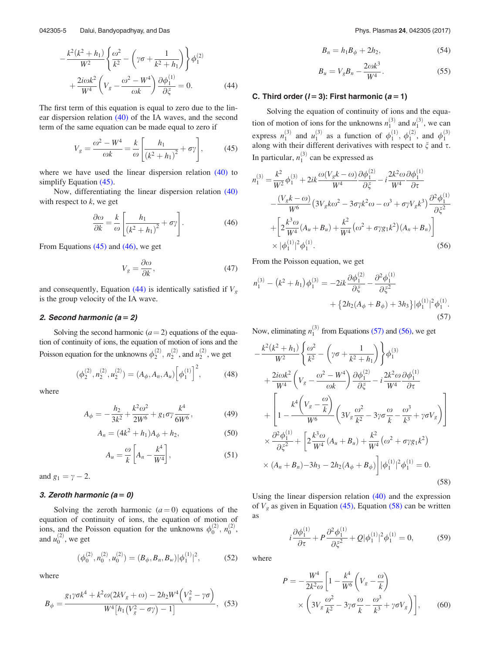$$
-\frac{k^2(k^2 + h_1)}{W^2} \left\{ \frac{\omega^2}{k^2} - \left(\gamma \sigma + \frac{1}{k^2 + h_1}\right) \right\} \phi_1^{(2)} + \frac{2i\omega k^2}{W^4} \left(V_g - \frac{\omega^2 - W^4}{\omega k}\right) \frac{\partial \phi_1^{(1)}}{\partial \xi} = 0.
$$
 (44)

The first term of this equation is equal to zero due to the linear dispersion relation (40) of the IA waves, and the second term of the same equation can be made equal to zero if

$$
V_g = \frac{\omega^2 - W^4}{\omega k} = \frac{k}{\omega} \left[ \frac{h_1}{(k^2 + h_1)^2} + \sigma \gamma \right],
$$
 (45)

where we have used the linear dispersion relation (40) to simplify Equation (45).

Now, differentiating the linear dispersion relation (40) with respect to  $k$ , we get

$$
\frac{\partial \omega}{\partial k} = \frac{k}{\omega} \left[ \frac{h_1}{(k^2 + h_1)^2} + \sigma \gamma \right].
$$
 (46)

From Equations  $(45)$  and  $(46)$ , we get

$$
V_g = \frac{\partial \omega}{\partial k},\tag{47}
$$

and consequently, Equation (44) is identically satisfied if  $V<sub>g</sub>$ is the group velocity of the IA wave.

## 2. Second harmonic  $(a = 2)$

Solving the second harmonic  $(a=2)$  equations of the equation of continuity of ions, the equation of motion of ions and the Poisson equation for the unknowns  $\phi_2^{(2)}$ ,  $n_2^{(2)}$ , and  $u_2^{(2)}$ , we get

$$
(\phi_2^{(2)}, n_2^{(2)}, u_2^{(2)}) = (A_{\phi}, A_n, A_u) \left[ \phi_1^{(1)} \right]^2, \tag{48}
$$

where

$$
A_{\phi} = -\frac{h_2}{3k^2} + \frac{k^2 \omega^2}{2W^6} + g_1 \sigma \gamma \frac{k^4}{6W^6},
$$
 (49)

$$
A_n = (4k^2 + h_1)A_\phi + h_2,\tag{50}
$$

$$
A_u = \frac{\omega}{k} \left[ A_n - \frac{k^4}{W^4} \right],\tag{51}
$$

and  $g_1 = \gamma - 2$ .

## 3. Zeroth harmonic  $(a = 0)$

Solving the zeroth harmonic  $(a=0)$  equations of the equation of continuity of ions, the equation of motion of ions, and the Poisson equation for the unknowns  $\phi_0^{(2)}$ ,  $n_0^{(2)}$ , and  $u_0^{(2)}$ , we get

$$
(\phi_0^{(2)}, n_0^{(2)}, u_0^{(2)}) = (B_{\phi}, B_n, B_w) |\phi_1^{(1)}|^2, \tag{52}
$$

where

$$
B_{\phi} = \frac{g_1 \gamma \sigma k^4 + k^2 \omega (2kV_g + \omega) - 2h_2 W^4 \left(V_g^2 - \gamma \sigma\right)}{W^4 \left[h_1 \left(V_g^2 - \sigma \gamma\right) - 1\right]}, \tag{53}
$$

$$
B_n = h_1 B_\phi + 2h_2,\tag{54}
$$

$$
B_u = V_g B_n - \frac{2\omega k^3}{W^4}.
$$
\n<sup>(55)</sup>

## C. Third order  $(l = 3)$ : First harmonic  $(a = 1)$

Solving the equation of continuity of ions and the equation of motion of ions for the unknowns  $n_1^{(3)}$  and  $u_1^{(3)}$ , we can express  $n_1^{(3)}$  and  $u_1^{(3)}$  as a function of  $\phi_1^{(1)}$ ,  $\phi_1^{(2)}$ , and  $\phi_1^{(3)}$  along with their different derivatives with respect to  $\xi$  and  $\tau$ . In particular,  $n_1^{(3)}$  can be expressed as

$$
n_1^{(3)} = \frac{k^2}{W^2} \phi_1^{(3)} + 2ik \frac{\omega (V_g k - \omega)}{W^4} \frac{\partial \phi_1^{(2)}}{\partial \xi} - i \frac{2k^2 \omega}{W^4} \frac{\partial \phi_1^{(1)}}{\partial \tau} - \frac{(V_g k - \omega)}{W^6} \left(3V_g k \omega^2 - 3\sigma \gamma k^2 \omega - \omega^3 + \sigma \gamma V_g k^3\right) \frac{\partial^2 \phi_1^{(1)}}{\partial \xi^2} + \left[2\frac{k^3 \omega}{W^4} (A_u + B_u) + \frac{k^2}{W^4} \left(\omega^2 + \sigma \gamma g_1 k^2\right) (A_n + B_n)\right] \times |\phi_1^{(1)}|^2 \phi_1^{(1)}.
$$
 (56)

From the Poisson equation, we get

$$
n_1^{(3)} - (k^2 + h_1)\phi_1^{(3)} = -2ik\frac{\partial \phi_1^{(2)}}{\partial \xi} - \frac{\partial^2 \phi_1^{(1)}}{\partial \xi^2} + \left\{2h_2(A_\phi + B_\phi) + 3h_3\right\}|\phi_1^{(1)}|^2\phi_1^{(1)}.
$$
\n(57)

Now, eliminating  $n_1^{(3)}$  from Equations (57) and (56), we get

$$
-\frac{k^{2}(k^{2} + h_{1})}{W^{2}} \left\{ \frac{\omega^{2}}{k^{2}} - \left(\gamma \sigma + \frac{1}{k^{2} + h_{1}}\right) \right\} \phi_{1}^{(3)} + \frac{2i\omega k^{2}}{W^{4}} \left(V_{g} - \frac{\omega^{2} - W^{4}}{\omega k}\right) \frac{\partial \phi_{1}^{(2)}}{\partial \xi} - i \frac{2k^{2}\omega}{W^{4}} \frac{\partial \phi_{1}^{(1)}}{\partial \tau} + \left[1 - \frac{k^{4}\left(V_{g} - \frac{\omega}{k}\right)}{W^{6}} \left(3V_{g}\frac{\omega^{2}}{k^{2}} - 3\gamma \sigma \frac{\omega}{k} - \frac{\omega^{3}}{k^{3}} + \gamma \sigma V_{g}\right)\right] \times \frac{\partial^{2} \phi_{1}^{(1)}}{\partial \xi^{2}} + \left[2\frac{k^{3}\omega}{W^{4}} (A_{u} + B_{u}) + \frac{k^{2}}{W^{4}} \left(\omega^{2} + \sigma \gamma g_{1} k^{2}\right) \times (A_{n} + B_{n}) - 3h_{3} - 2h_{2}(A_{\phi} + B_{\phi})\right] |\phi_{1}^{(1)}|^{2} \phi_{1}^{(1)} = 0.
$$
\n(58)

Using the linear dispersion relation (40) and the expression of  $V_g$  as given in Equation (45), Equation (58) can be written as

$$
i\frac{\partial \phi_1^{(1)}}{\partial \tau} + P \frac{\partial^2 \phi_1^{(1)}}{\partial \xi^2} + Q |\phi_1^{(1)}|^2 \phi_1^{(1)} = 0, \tag{59}
$$

where

$$
P = -\frac{W^4}{2k^2\omega} \left[ 1 - \frac{k^4}{W^6} \left( V_g - \frac{\omega}{k} \right) \times \left( 3V_g \frac{\omega^2}{k^2} - 3\gamma\sigma \frac{\omega}{k} - \frac{\omega^3}{k^3} + \gamma\sigma V_g \right) \right],
$$
 (60)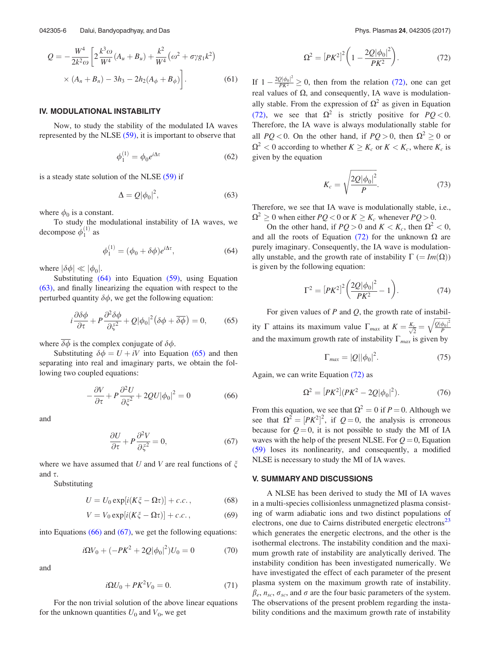$$
Q = -\frac{W^4}{2k^2\omega} \left[ 2\frac{k^3\omega}{W^4} (A_u + B_u) + \frac{k^2}{W^4} (\omega^2 + \sigma \gamma g_1 k^2) \times (A_n + B_n) - 3h_3 - 2h_2 (A_\phi + B_\phi) \right].
$$
 (61)

### IV. MODULATIONAL INSTABILITY

Now, to study the stability of the modulated IA waves represented by the NLSE (59), it is important to observe that

$$
\phi_1^{(1)} = \phi_0 e^{i\Delta \tau} \tag{62}
$$

is a steady state solution of the NLSE (59) if

$$
\Delta = Q |\phi_0|^2, \tag{63}
$$

where  $\phi_0$  is a constant.

To study the modulational instability of IA waves, we decompose  $\phi_1^{(1)}$  as

$$
\phi_1^{(1)} = (\phi_0 + \delta\phi)e^{i\Delta\tau},\tag{64}
$$

where  $|\delta\phi| \ll |\phi_0|$ .

Substituting  $(64)$  into Equation  $(59)$ , using Equation (63), and finally linearizing the equation with respect to the perturbed quantity  $\delta\phi$ , we get the following equation:

$$
i\frac{\partial \delta \phi}{\partial \tau} + P \frac{\partial^2 \delta \phi}{\partial \xi^2} + Q |\phi_0|^2 (\delta \phi + \overline{\delta \phi}) = 0, \qquad (65)
$$

where  $\overline{\delta\phi}$  is the complex conjugate of  $\delta\phi$ .

Substituting  $\delta\phi = U + iV$  into Equation (65) and then separating into real and imaginary parts, we obtain the following two coupled equations:

$$
-\frac{\partial V}{\partial \tau} + P \frac{\partial^2 U}{\partial \xi^2} + 2QU |\phi_0|^2 = 0 \tag{66}
$$

and

$$
\frac{\partial U}{\partial \tau} + P \frac{\partial^2 V}{\partial \xi^2} = 0,\tag{67}
$$

where we have assumed that U and V are real functions of  $\xi$ and  $\tau$ .

Substituting

$$
U = U_0 \exp[i(K\xi - \Omega \tau)] + c.c., \qquad (68)
$$

$$
V = V_0 \exp[i(K\xi - \Omega \tau)] + c.c., \qquad (69)
$$

into Equations  $(66)$  and  $(67)$ , we get the following equations:

$$
i\Omega V_0 + (-PK^2 + 2Q|\phi_0|^2)U_0 = 0
$$
 (70)

and

$$
i\Omega U_0 + PK^2 V_0 = 0.
$$
 (71)

For the non trivial solution of the above linear equations for the unknown quantities  $U_0$  and  $V_0$ , we get

$$
\Omega^2 = [PK^2]^2 \left( 1 - \frac{2Q|\phi_0|^2}{PK^2} \right). \tag{72}
$$

If  $1 - \frac{2Q|\phi_0|^2}{PK^2} \ge 0$ , then from the relation (72), one can get real values of  $\Omega$ , and consequently, IA wave is modulationally stable. From the expression of  $\Omega^2$  as given in Equation (72), we see that  $\Omega^2$  is strictly positive for  $PQ < 0$ . Therefore, the IA wave is always modulationally stable for all  $PQ < 0$ . On the other hand, if  $PQ > 0$ , then  $\Omega^2 \ge 0$  or  $\Omega^2$  < 0 according to whether  $K \geq K_c$  or  $K < K_c$ , where  $K_c$  is given by the equation

$$
K_c = \sqrt{\frac{2Q|\phi_0|^2}{P}}.
$$
 (73)

Therefore, we see that IA wave is modulationally stable, i.e.,  $\Omega^2 \geq 0$  when either  $PQ < 0$  or  $K \geq K_c$  whenever  $PQ > 0$ .

On the other hand, if  $PQ > 0$  and  $K < K_c$ , then  $\Omega^2 < 0$ , and all the roots of Equation (72) for the unknown  $\Omega$  are purely imaginary. Consequently, the IA wave is modulationally unstable, and the growth rate of instability  $\Gamma (= Im(\Omega))$ is given by the following equation:

$$
\Gamma^2 = [PK^2]^2 \left( \frac{2Q|\phi_0|^2}{PK^2} - 1 \right). \tag{74}
$$

For given values of  $P$  and  $Q$ , the growth rate of instability  $\Gamma$  attains its maximum value  $\Gamma_{max}$  at  $K = \frac{K_c}{\sqrt{2}}$  $\frac{1}{\sqrt{2}}$  =  $\mathcal{Q}|\phi_0|^2$ P  $\frac{1}{2}$ and the maximum growth rate of instability  $\Gamma_{max}$  is given by

$$
\Gamma_{\text{max}} = |Q||\phi_0|^2. \tag{75}
$$

Again, we can write Equation (72) as

$$
\Omega^2 = [PK^2](PK^2 - 2Q|\phi_0|^2). \tag{76}
$$

From this equation, we see that  $\Omega^2 = 0$  if  $P = 0$ . Although we see that  $\Omega^2 = [PK^2]^2$ , if  $Q = 0$ , the analysis is erroneous because for  $Q = 0$ , it is not possible to study the MI of IA waves with the help of the present NLSE. For  $Q = 0$ , Equation (59) loses its nonlinearity, and consequently, a modified NLSE is necessary to study the MI of IA waves.

### V. SUMMARY AND DISCUSSIONS

A NLSE has been derived to study the MI of IA waves in a multi-species collisionless unmagnetized plasma consisting of warm adiabatic ions and two distinct populations of electrons, one due to Cairns distributed energetic electrons<sup>23</sup> which generates the energetic electrons, and the other is the isothermal electrons. The instability condition and the maximum growth rate of instability are analytically derived. The instability condition has been investigated numerically. We have investigated the effect of each parameter of the present plasma system on the maximum growth rate of instability.  $\beta_e$ ,  $n_{sc}$ ,  $\sigma_{sc}$ , and  $\sigma$  are the four basic parameters of the system. The observations of the present problem regarding the instability conditions and the maximum growth rate of instability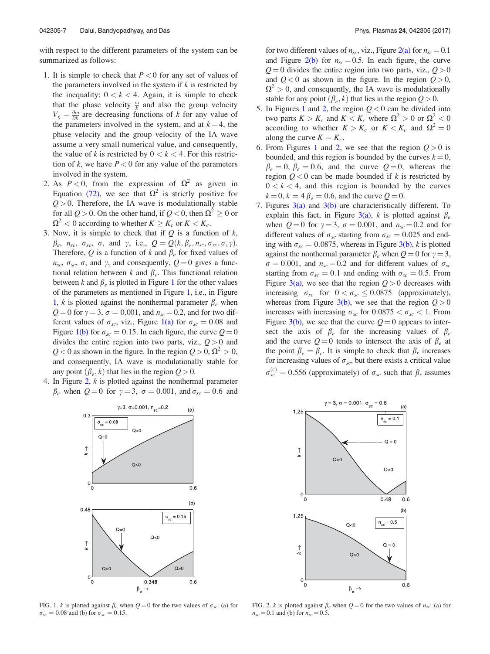with respect to the different parameters of the system can be summarized as follows:

- 1. It is simple to check that  $P < 0$  for any set of values of the parameters involved in the system if  $k$  is restricted by the inequality:  $0 < k < 4$ . Again, it is simple to check that the phase velocity  $\frac{\omega}{k}$  and also the group velocity  $V_g = \frac{\partial \omega}{\partial k}$  are decreasing functions of k for any value of the parameters involved in the system, and at  $k = 4$ , the phase velocity and the group velocity of the IA wave assume a very small numerical value, and consequently, the value of k is restricted by  $0 < k < 4$ . For this restriction of k, we have  $P < 0$  for any value of the parameters involved in the system.
- 2. As  $P < 0$ , from the expression of  $\Omega^2$  as given in Equation (72), we see that  $\Omega^2$  is strictly positive for  $Q > 0$ . Therefore, the IA wave is modulationally stable for all  $Q > 0$ . On the other hand, if  $Q < 0$ , then  $\Omega^2 \ge 0$  or  $\Omega^2$  < 0 according to whether  $K \geq K_c$  or  $K < K_c$ .
- 3. Now, it is simple to check that if  $Q$  is a function of  $k$ ,  $\beta_e$ ,  $n_{sc}$ ,  $\sigma_{sc}$ ,  $\sigma$ , and  $\gamma$ , i.e.,  $Q = Q(k, \beta_e, n_{sc}, \sigma_{sc}, \sigma, \gamma)$ . Therefore, Q is a function of k and  $\beta_e$  for fixed values of  $n_{sc}$ ,  $\sigma_{sc}$ ,  $\sigma$ , and  $\gamma$ , and consequently,  $Q = 0$  gives a functional relation between  $k$  and  $\beta_e$ . This functional relation between k and  $\beta_e$  is plotted in Figure 1 for the other values of the parameters as mentioned in Figure 1, i.e., in Figure 1, k is plotted against the nonthermal parameter  $\beta_e$  when  $Q = 0$  for  $\gamma = 3$ ,  $\sigma = 0.001$ , and  $n_{sc} = 0.2$ , and for two different values of  $\sigma_{sc}$ , viz., Figure 1(a) for  $\sigma_{sc} = 0.08$  and Figure 1(b) for  $\sigma_{sc} = 0.15$ . In each figure, the curve  $Q = 0$ divides the entire region into two parts, viz.,  $Q > 0$  and  $Q < 0$  as shown in the figure. In the region  $Q > 0$ ,  $\Omega^2 > 0$ , and consequently, IA wave is modulationally stable for any point  $(\beta_e, k)$  that lies in the region  $Q > 0$ .
- 4. In Figure 2, k is plotted against the nonthermal parameter  $\beta_e$  when  $Q=0$  for  $\gamma = 3$ ,  $\sigma = 0.001$ , and  $\sigma_{sc} = 0.6$  and



FIG. 1. k is plotted against  $\beta_e$  when  $Q = 0$  for the two values of  $\sigma_{sc}$ : (a) for  $\sigma_{sc} = 0.08$  and (b) for  $\sigma_{sc} = 0.15$ .

for two different values of  $n_{sc}$ , viz., Figure 2(a) for  $n_{sc} = 0.1$ and Figure 2(b) for  $n_{sc} = 0.5$ . In each figure, the curve  $Q = 0$  divides the entire region into two parts, viz.,  $Q > 0$ and  $Q < 0$  as shown in the figure. In the region  $Q > 0$ ,  $\Omega^2 > 0$ , and consequently, the IA wave is modulationally stable for any point  $(\beta_e, k)$  that lies in the region  $Q > 0$ .

- 5. In Figures 1 and 2, the region  $Q < 0$  can be divided into two parts  $K > K_c$  and  $K < K_c$  where  $\Omega^2 > 0$  or  $\Omega^2 < 0$ according to whether  $K > K_c$  or  $K < K_c$  and  $\Omega^2 = 0$ along the curve  $K = K_c$ .
- 6. From Figures 1 and 2, we see that the region  $Q > 0$  is bounded, and this region is bounded by the curves  $k = 0$ ,  $\beta_e = 0$ ,  $\beta_e = 0.6$ , and the curve  $Q = 0$ , whereas the region  $Q < 0$  can be made bounded if k is restricted by  $0 < k < 4$ , and this region is bounded by the curves  $k = 0, k = 4 \beta_e = 0.6$ , and the curve  $Q = 0$ .
- 7. Figures  $3(a)$  and  $3(b)$  are characteristically different. To explain this fact, in Figure 3(a), k is plotted against  $\beta_e$ when  $Q = 0$  for  $\gamma = 3$ ,  $\sigma = 0.001$ , and  $n_{sc} = 0.2$  and for different values of  $\sigma_{sc}$  starting from  $\sigma_{sc} = 0.025$  and ending with  $\sigma_{sc} = 0.0875$ , whereas in Figure 3(b), k is plotted against the nonthermal parameter  $\beta_e$  when  $Q = 0$  for  $\gamma = 3$ ,  $\sigma = 0.001$ , and  $n_{sc} = 0.2$  and for different values of  $\sigma_{sc}$ starting from  $\sigma_{sc} = 0.1$  and ending with  $\sigma_{sc} = 0.5$ . From Figure 3(a), we see that the region  $Q > 0$  decreases with increasing  $\sigma_{sc}$  for  $0 < \sigma_{sc} \le 0.0875$  (approximately), whereas from Figure 3(b), we see that the region  $Q > 0$ increases with increasing  $\sigma_{sc}$  for 0.0875  $< \sigma_{sc} < 1$ . From Figure 3(b), we see that the curve  $Q = 0$  appears to intersect the axis of  $\beta_e$  for the increasing values of  $\beta_e$ and the curve  $Q = 0$  tends to intersect the axis of  $\beta_e$  at the point  $\beta_e = \beta_r$ . It is simple to check that  $\beta_r$  increases for increasing values of  $\sigma_{sc}$ , but there exists a critical value  $\sigma_{sc}^{(c)} = 0.556$  (approximately) of  $\sigma_{sc}$  such that  $\beta_r$  assumes



FIG. 2. k is plotted against  $\beta_e$  when  $Q = 0$  for the two values of  $n_{sc}$ : (a) for  $n_{sc} = 0.1$  and (b) for  $n_{sc} = 0.5$ .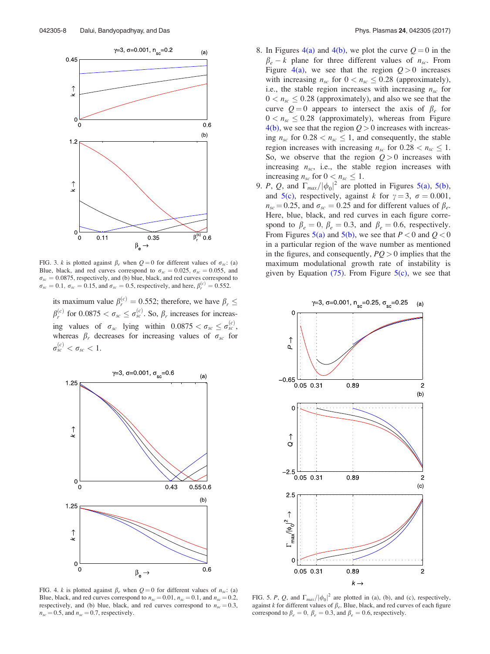

FIG. 3. k is plotted against  $\beta_e$  when  $Q = 0$  for different values of  $\sigma_{sc}$ : (a) Blue, black, and red curves correspond to  $\sigma_{sc} = 0.025$ ,  $\sigma_{sc} = 0.055$ , and  $\sigma_{sc} = 0.0875$ , respectively, and (b) blue, black, and red curves correspond to  $\sigma_{sc} = 0.1$ ,  $\sigma_{sc} = 0.15$ , and  $\sigma_{sc} = 0.5$ , respectively, and here,  $\beta_r^{(c)} = 0.552$ .

its maximum value  $\beta_r^{(c)} = 0.552$ ; therefore, we have  $\beta_r \leq$  $\beta_r^{(c)}$  for 0.0875  $< \sigma_{sc} \leq \sigma_{sc}^{(c)}$ . So,  $\beta_r$  increases for increasing values of  $\sigma_{sc}$  lying within  $0.0875 < \sigma_{sc} \leq \sigma_{sc}^{(c)}$ , whereas  $\beta_r$  decreases for increasing values of  $\sigma_{sc}$  for  $\sigma_{\mathit{sc}}^{(\mathit{c})} < \sigma_{\mathit{sc}} < 1.$ 



FIG. 4. k is plotted against  $\beta_e$  when  $Q = 0$  for different values of  $n_{sc}$ : (a) Blue, black, and red curves correspond to  $n_{sc} = 0.01$ ,  $n_{sc} = 0.1$ , and  $n_{sc} = 0.2$ , respectively, and (b) blue, black, and red curves correspond to  $n_{sc} = 0.3$ ,  $n_{sc} = 0.5$ , and  $n_{sc} = 0.7$ , respectively.

- 8. In Figures 4(a) and 4(b), we plot the curve  $Q = 0$  in the  $\beta_e - k$  plane for three different values of  $n_{sc}$ . From Figure 4(a), we see that the region  $Q > 0$  increases with increasing  $n_{sc}$  for  $0 < n_{sc} \le 0.28$  (approximately), i.e., the stable region increases with increasing  $n_{sc}$  for  $0 < n_{sc} \leq 0.28$  (approximately), and also we see that the curve  $Q=0$  appears to intersect the axis of  $\beta_e$  for  $0 < n_{sc} \leq 0.28$  (approximately), whereas from Figure  $4(b)$ , we see that the region  $Q > 0$  increases with increasing  $n_{sc}$  for  $0.28 < n_{sc} \le 1$ , and consequently, the stable region increases with increasing  $n_{sc}$  for  $0.28 < n_{sc} \le 1$ . So, we observe that the region  $Q > 0$  increases with increasing  $n_{sc}$ , i.e., the stable region increases with increasing  $n_{sc}$  for  $0 < n_{sc} \le 1$ .
- 9. P, Q, and  $\Gamma_{max}/|\phi_0|^2$  are plotted in Figures 5(a), 5(b), and 5(c), respectively, against k for  $\gamma = 3$ ,  $\sigma = 0.001$ ,  $n_{sc} = 0.25$ , and  $\sigma_{sc} = 0.25$  and for different values of  $\beta_e$ . Here, blue, black, and red curves in each figure correspond to  $\beta_e = 0$ ,  $\beta_e = 0.3$ , and  $\beta_e = 0.6$ , respectively. From Figures 5(a) and 5(b), we see that  $P < 0$  and  $Q < 0$ in a particular region of the wave number as mentioned in the figures, and consequently,  $PQ > 0$  implies that the maximum modulational growth rate of instability is given by Equation  $(75)$ . From Figure  $5(c)$ , we see that



FIG. 5. P, Q, and  $\Gamma_{max}/|\phi_0|^2$  are plotted in (a), (b), and (c), respectively, against k for different values of  $\beta_e$ . Blue, black, and red curves of each figure correspond to  $\beta_e = 0$ ,  $\beta_e = 0.3$ , and  $\beta_e = 0.6$ , respectively.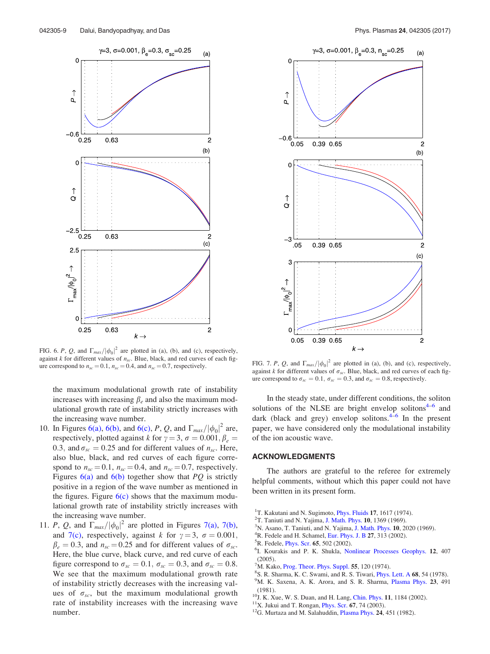

FIG. 6. P, Q, and  $\Gamma_{max}/|\phi_0|^2$  are plotted in (a), (b), and (c), respectively, against  $k$  for different values of  $n_{sc}$ . Blue, black, and red curves of each figure correspond to  $n_{sc} = 0.1$ ,  $n_{sc} = 0.4$ , and  $n_{sc} = 0.7$ , respectively.

the maximum modulational growth rate of instability increases with increasing  $\beta_e$  and also the maximum modulational growth rate of instability strictly increases with the increasing wave number.

- 10. In Figures 6(a), 6(b), and 6(c), P, Q, and  $\Gamma_{max}/|\phi_0|^2$  are, respectively, plotted against k for  $\gamma = 3$ ,  $\sigma = 0.001$ ,  $\beta_e =$ 0.3, and  $\sigma_{sc} = 0.25$  and for different values of  $n_{sc}$ . Here, also blue, black, and red curves of each figure correspond to  $n_{sc} = 0.1$ ,  $n_{sc} = 0.4$ , and  $n_{sc} = 0.7$ , respectively. Figures  $6(a)$  and  $6(b)$  together show that PQ is strictly positive in a region of the wave number as mentioned in the figures. Figure  $6(c)$  shows that the maximum modulational growth rate of instability strictly increases with the increasing wave number.
- 11. P, Q, and  $\Gamma_{max}/|\phi_0|^2$  are plotted in Figures 7(a), 7(b), and 7(c), respectively, against k for  $\gamma = 3$ ,  $\sigma = 0.001$ ,  $\beta_e = 0.3$ , and  $n_{sc} = 0.25$  and for different values of  $\sigma_{sc}$ . Here, the blue curve, black curve, and red curve of each figure correspond to  $\sigma_{sc} = 0.1$ ,  $\sigma_{sc} = 0.3$ , and  $\sigma_{sc} = 0.8$ . We see that the maximum modulational growth rate of instability strictly decreases with the increasing values of  $\sigma_{sc}$ , but the maximum modulational growth rate of instability increases with the increasing wave number.



 $\vert^2$  are plotted in (a), (b), and (c), respectively, against k for different values of  $\sigma_{sc}$ . Blue, black, and red curves of each figure correspond to  $\sigma_{sc} = 0.1$ ,  $\sigma_{sc} = 0.3$ , and  $\sigma_{sc} = 0.8$ , respectively.

In the steady state, under different conditions, the soliton solutions of the NLSE are bright envelop solitons $4-6$  and dark (black and grey) envelop solitons.<sup>4-6</sup> In the present paper, we have considered only the modulational instability of the ion acoustic wave.

## ACKNOWLEDGMENTS

The authors are grateful to the referee for extremely helpful comments, without which this paper could not have been written in its present form.

- <sup>1</sup>T. Kakutani and N. Sugimoto, *Phys. Fluids* 17, 1617 (1974).
- <sup>2</sup>T. Taniuti and N. Yajima, J. Math. Phys. 10, 1369 (1969).
- $3N.$  Asano, T. Taniuti, and N. Yajima, J. Math. Phys. 10, 2020 (1969).
- ${}^{4}$ R. Fedele and H. Schamel, Eur. Phys. J. B 27, 313 (2002).
- <sup>5</sup>R. Fedele, *Phys. Scr.* 65, 502 (2002).
- 6 I. Kourakis and P. K. Shukla, Nonlinear Processes Geophys. 12, 407 (2005).
- ${}^{7}$ M. Kako, Prog. Theor. Phys. Suppl. 55, 120 (1974).
- <sup>8</sup>S. R. Sharma, K. C. Swami, and R. S. Tiwari, *Phys. Lett. A 68, 54 (1978)*.
- $9^9$ M. K. Saxena, A. K. Arora, and S. R. Sharma, Plasma Phys. 23, 491 (1981).
- $^{10}$ J. K. Xue, W. S. Duan, and H. Lang, Chin. Phys. 11, 1184 (2002).
- $11X$ . Jukui and T. Rongan, *Phys. Scr.* 67, 74 (2003).
- $12$ G. Murtaza and M. Salahuddin, *Plasma Phys.* 24, 451 (1982).